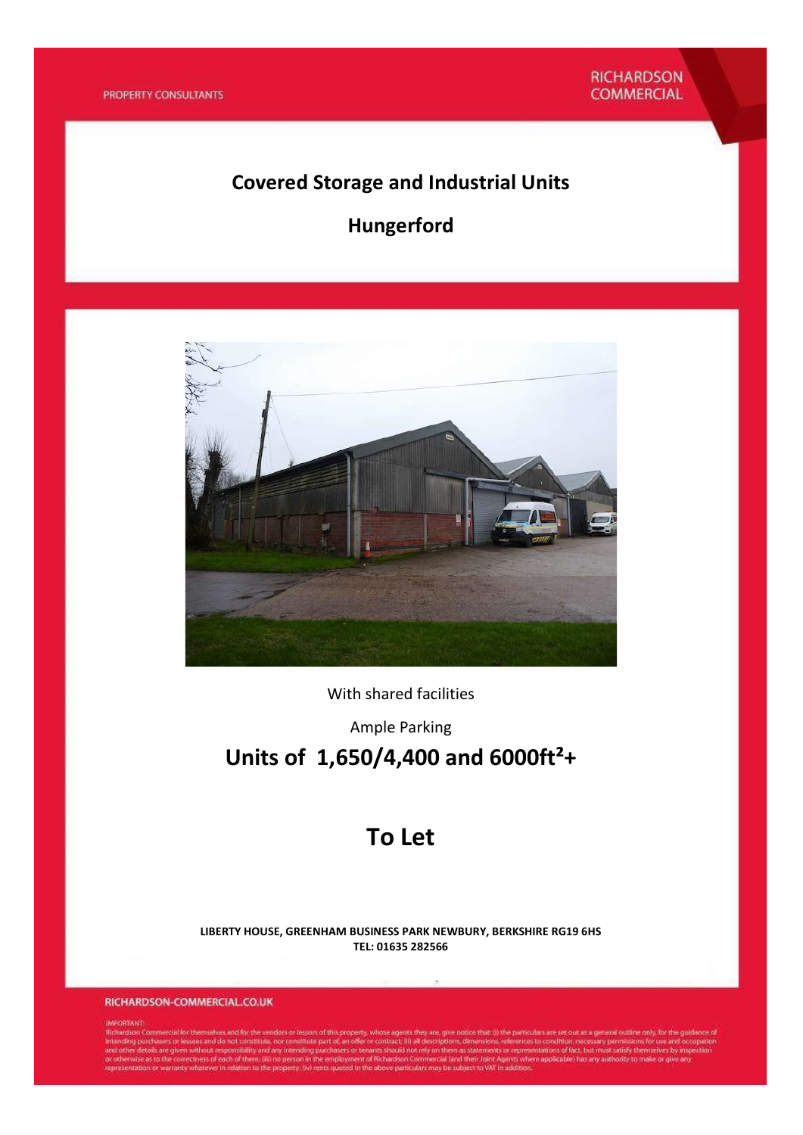# **Covered Storage and Industrial Units**

# **Hungerford**



With shared facilities

Ample Parking

# **Units of 1,650/4,400 and 6000ft²+**

# **To Let**

**LIBERTY HOUSE, GREENHAM BUSINESS PARK NEWBURY, BERKSHIRE RG19 6HS TEL: 01635 282566** 

RICHARDSON-COMMERCIAL.CO.UK

#### **IMPORTANT**

mediated on Commercial for themselves and for the vendors or lessons of this property, whose agents they are give notice that: (i) the particulars are set out as a general cultime only, for the guidance of intending purcha